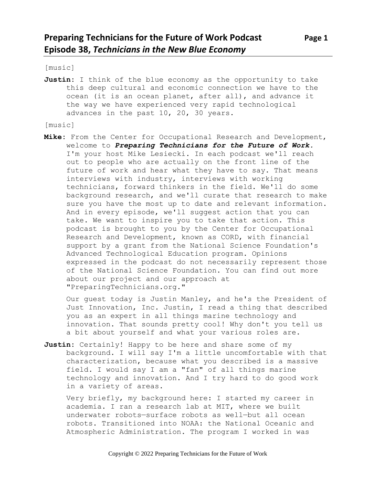[music]

**Justin:** I think of the blue economy as the opportunity to take this deep cultural and economic connection we have to the ocean (it is an ocean planet, after all), and advance it the way we have experienced very rapid technological advances in the past 10, 20, 30 years.

[music]

**Mike:** From the Center for Occupational Research and Development, welcome to *Preparing Technicians for the Future of Work.* I'm your host Mike Lesiecki. In each podcast we'll reach out to people who are actually on the front line of the future of work and hear what they have to say. That means interviews with industry, interviews with working technicians, forward thinkers in the field. We'll do some background research, and we'll curate that research to make sure you have the most up to date and relevant information. And in every episode, we'll suggest action that you can take. We want to inspire you to take that action. This podcast is brought to you by the Center for Occupational Research and Development, known as CORD, with financial support by a grant from the National Science Foundation's Advanced Technological Education program. Opinions expressed in the podcast do not necessarily represent those of the National Science Foundation. You can find out more about our project and our approach at "PreparingTechnicians.org."

Our guest today is Justin Manley, and he's the President of Just Innovation, Inc. Justin, I read a thing that described you as an expert in all things marine technology and innovation. That sounds pretty cool! Why don't you tell us a bit about yourself and what your various roles are.

Justin: Certainly! Happy to be here and share some of my background. I will say I'm a little uncomfortable with that characterization, because what you described is a massive field. I would say I am a "fan" of all things marine technology and innovation. And I try hard to do good work in a variety of areas.

Very briefly, my background here: I started my career in academia. I ran a research lab at MIT, where we built underwater robots—surface robots as well—but all ocean robots. Transitioned into NOAA: the National Oceanic and Atmospheric Administration. The program I worked in was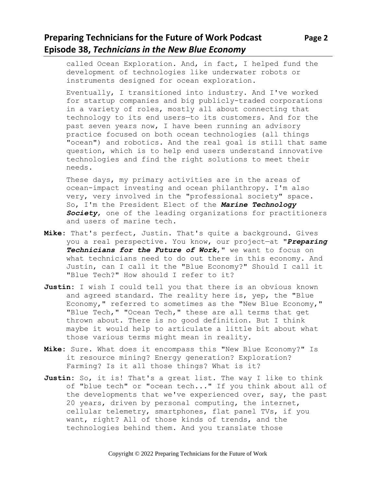#### **Preparing Technicians for the Future of Work Podcast Page 2 Episode 38,** *Technicians in the New Blue Economy*

called Ocean Exploration. And, in fact, I helped fund the development of technologies like underwater robots or instruments designed for ocean exploration.

Eventually, I transitioned into industry. And I've worked for startup companies and big publicly-traded corporations in a variety of roles, mostly all about connecting that technology to its end users—to its customers. And for the past seven years now, I have been running an advisory practice focused on both ocean technologies (all things "ocean") and robotics. And the real goal is still that same question, which is to help end users understand innovative technologies and find the right solutions to meet their needs.

These days, my primary activities are in the areas of ocean-impact investing and ocean philanthropy. I'm also very, very involved in the "professional society" space. So, I'm the President Elect of the *Marine Technology Society*, one of the leading organizations for practitioners and users of marine tech.

- **Mike:** That's perfect, Justin. That's quite a background. Gives you a real perspective. You know, our project—at "*Preparing Technicians for the Future of Work*," we want to focus on what technicians need to do out there in this economy. And Justin, can I call it the "Blue Economy?" Should I call it "Blue Tech?" How should I refer to it?
- **Justin:** I wish I could tell you that there is an obvious known and agreed standard. The reality here is, yep, the "Blue Economy," referred to sometimes as the "New Blue Economy," "Blue Tech," "Ocean Tech," these are all terms that get thrown about. There is no good definition. But I think maybe it would help to articulate a little bit about what those various terms might mean in reality.
- **Mike:** Sure. What does it encompass this "New Blue Economy?" Is it resource mining? Energy generation? Exploration? Farming? Is it all those things? What is it?
- Justin: So, it is! That's a great list. The way I like to think of "blue tech" or "ocean tech..." If you think about all of the developments that we've experienced over, say, the past 20 years, driven by personal computing, the internet, cellular telemetry, smartphones, flat panel TVs, if you want, right? All of those kinds of trends, and the technologies behind them. And you translate those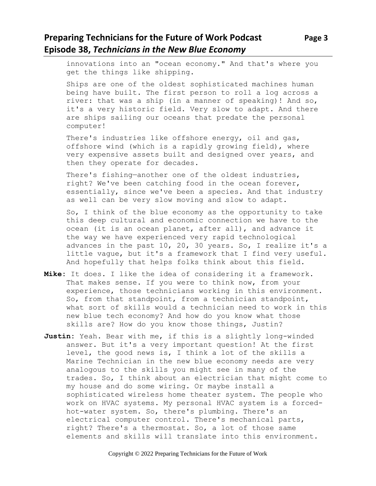#### **Preparing Technicians for the Future of Work Podcast Page 3 Episode 38,** *Technicians in the New Blue Economy*

innovations into an "ocean economy." And that's where you get the things like shipping.

Ships are one of the oldest sophisticated machines human being have built. The first person to roll a log across a river: that was a ship (in a manner of speaking)! And so, it's a very historic field. Very slow to adapt. And there are ships sailing our oceans that predate the personal computer!

There's industries like offshore energy, oil and gas, offshore wind (which is a rapidly growing field), where very expensive assets built and designed over years, and then they operate for decades.

There's fishing—another one of the oldest industries, right? We've been catching food in the ocean forever, essentially, since we've been a species. And that industry as well can be very slow moving and slow to adapt.

So, I think of the blue economy as the opportunity to take this deep cultural and economic connection we have to the ocean (it is an ocean planet, after all), and advance it the way we have experienced very rapid technological advances in the past 10, 20, 30 years. So, I realize it's a little vague, but it's a framework that I find very useful. And hopefully that helps folks think about this field.

- **Mike:** It does. I like the idea of considering it a framework. That makes sense. If you were to think now, from your experience, those technicians working in this environment. So, from that standpoint, from a technician standpoint, what sort of skills would a technician need to work in this new blue tech economy? And how do you know what those skills are? How do you know those things, Justin?
- **Justin:** Yeah. Bear with me, if this is a slightly long-winded answer. But it's a very important question! At the first level, the good news is, I think a lot of the skills a Marine Technician in the new blue economy needs are very analogous to the skills you might see in many of the trades. So, I think about an electrician that might come to my house and do some wiring. Or maybe install a sophisticated wireless home theater system. The people who work on HVAC systems. My personal HVAC system is a forcedhot-water system. So, there's plumbing. There's an electrical computer control. There's mechanical parts, right? There's a thermostat. So, a lot of those same elements and skills will translate into this environment.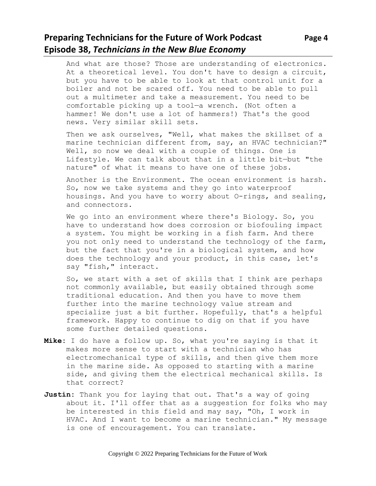# **Preparing Technicians for the Future of Work Podcast Page 4 Episode 38,** *Technicians in the New Blue Economy*

And what are those? Those are understanding of electronics. At a theoretical level. You don't have to design a circuit, but you have to be able to look at that control unit for a boiler and not be scared off. You need to be able to pull out a multimeter and take a measurement. You need to be comfortable picking up a tool—a wrench. (Not often a hammer! We don't use a lot of hammers!) That's the good news. Very similar skill sets.

Then we ask ourselves, "Well, what makes the skillset of a marine technician different from, say, an HVAC technician?" Well, so now we deal with a couple of things. One is Lifestyle. We can talk about that in a little bit—but "the nature" of what it means to have one of these jobs.

Another is the Environment. The ocean environment is harsh. So, now we take systems and they go into waterproof housings. And you have to worry about O-rings, and sealing, and connectors.

We go into an environment where there's Biology. So, you have to understand how does corrosion or biofouling impact a system. You might be working in a fish farm. And there you not only need to understand the technology of the farm, but the fact that you're in a biological system, and how does the technology and your product, in this case, let's say "fish," interact.

So, we start with a set of skills that I think are perhaps not commonly available, but easily obtained through some traditional education. And then you have to move them further into the marine technology value stream and specialize just a bit further. Hopefully, that's a helpful framework. Happy to continue to dig on that if you have some further detailed questions.

- **Mike:** I do have a follow up. So, what you're saying is that it makes more sense to start with a technician who has electromechanical type of skills, and then give them more in the marine side. As opposed to starting with a marine side, and giving them the electrical mechanical skills. Is that correct?
- Justin: Thank you for laying that out. That's a way of going about it. I'll offer that as a suggestion for folks who may be interested in this field and may say, "Oh, I work in HVAC. And I want to become a marine technician." My message is one of encouragement. You can translate.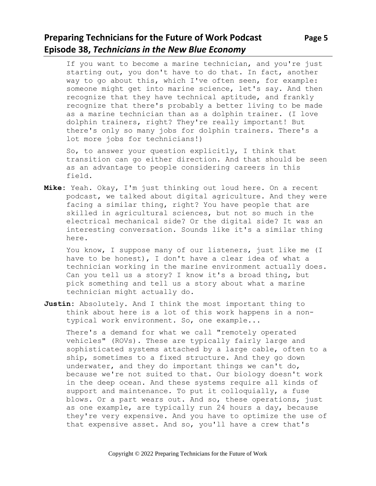# **Preparing Technicians for the Future of Work Podcast Page 5 Episode 38,** *Technicians in the New Blue Economy*

If you want to become a marine technician, and you're just starting out, you don't have to do that. In fact, another way to go about this, which I've often seen, for example: someone might get into marine science, let's say. And then recognize that they have technical aptitude, and frankly recognize that there's probably a better living to be made as a marine technician than as a dolphin trainer. (I love dolphin trainers, right? They're really important! But there's only so many jobs for dolphin trainers. There's a lot more jobs for technicians!)

So, to answer your question explicitly, I think that transition can go either direction. And that should be seen as an advantage to people considering careers in this field.

**Mike:** Yeah. Okay, I'm just thinking out loud here. On a recent podcast, we talked about digital agriculture. And they were facing a similar thing, right? You have people that are skilled in agricultural sciences, but not so much in the electrical mechanical side? Or the digital side? It was an interesting conversation. Sounds like it's a similar thing here.

You know, I suppose many of our listeners, just like me (I have to be honest), I don't have a clear idea of what a technician working in the marine environment actually does. Can you tell us a story? I know it's a broad thing, but pick something and tell us a story about what a marine technician might actually do.

**Justin:** Absolutely. And I think the most important thing to think about here is a lot of this work happens in a nontypical work environment. So, one example...

There's a demand for what we call "remotely operated vehicles" (ROVs). These are typically fairly large and sophisticated systems attached by a large cable, often to a ship, sometimes to a fixed structure. And they go down underwater, and they do important things we can't do, because we're not suited to that. Our biology doesn't work in the deep ocean. And these systems require all kinds of support and maintenance. To put it colloquially, a fuse blows. Or a part wears out. And so, these operations, just as one example, are typically run 24 hours a day, because they're very expensive. And you have to optimize the use of that expensive asset. And so, you'll have a crew that's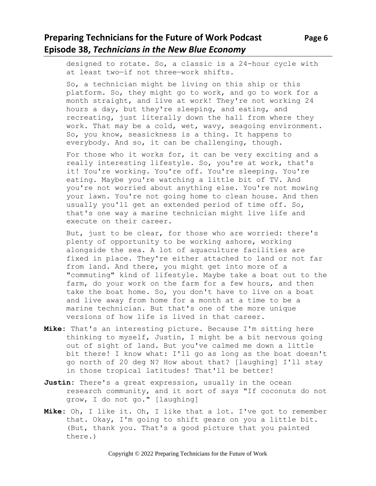# **Preparing Technicians for the Future of Work Podcast** Page 6 **Episode 38,** *Technicians in the New Blue Economy*

designed to rotate. So, a classic is a 24-hour cycle with at least two—if not three—work shifts.

So, a technician might be living on this ship or this platform. So, they might go to work, and go to work for a month straight, and live at work! They're not working 24 hours a day, but they're sleeping, and eating, and recreating, just literally down the hall from where they work. That may be a cold, wet, wavy, seagoing environment. So, you know, seasickness is a thing. It happens to everybody. And so, it can be challenging, though.

For those who it works for, it can be very exciting and a really interesting lifestyle. So, you're at work, that's it! You're working. You're off. You're sleeping. You're eating. Maybe you're watching a little bit of TV. And you're not worried about anything else. You're not mowing your lawn. You're not going home to clean house. And then usually you'll get an extended period of time off. So, that's one way a marine technician might live life and execute on their career.

But, just to be clear, for those who are worried: there's plenty of opportunity to be working ashore, working alongside the sea. A lot of aquaculture facilities are fixed in place. They're either attached to land or not far from land. And there, you might get into more of a "commuting" kind of lifestyle. Maybe take a boat out to the farm, do your work on the farm for a few hours, and then take the boat home. So, you don't have to live on a boat and live away from home for a month at a time to be a marine technician. But that's one of the more unique versions of how life is lived in that career.

- **Mike:** That's an interesting picture. Because I'm sitting here thinking to myself, Justin, I might be a bit nervous going out of sight of land. But you've calmed me down a little bit there! I know what: I'll go as long as the boat doesn't go north of 20 deg N? How about that? [laughing] I'll stay in those tropical latitudes! That'll be better!
- Justin: There's a great expression, usually in the ocean research community, and it sort of says "If coconuts do not grow, I do not go." [laughing]
- **Mike:** Oh, I like it. Oh, I like that a lot. I've got to remember that. Okay, I'm going to shift gears on you a little bit. (But, thank you. That's a good picture that you painted there.)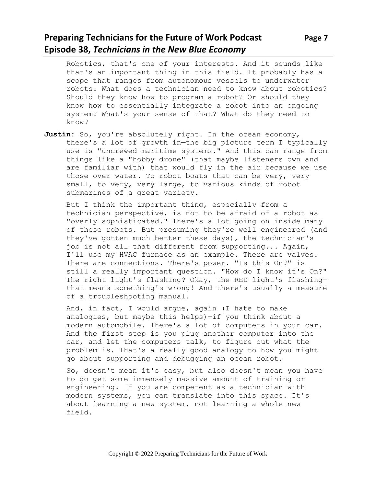# **Preparing Technicians for the Future of Work Podcast Page 7 Episode 38,** *Technicians in the New Blue Economy*

Robotics, that's one of your interests. And it sounds like that's an important thing in this field. It probably has a scope that ranges from autonomous vessels to underwater robots. What does a technician need to know about robotics? Should they know how to program a robot? Or should they know how to essentially integrate a robot into an ongoing system? What's your sense of that? What do they need to know?

**Justin:** So, you're absolutely right. In the ocean economy, there's a lot of growth in—the big picture term I typically use is "uncrewed maritime systems." And this can range from things like a "hobby drone" (that maybe listeners own and are familiar with) that would fly in the air because we use those over water. To robot boats that can be very, very small, to very, very large, to various kinds of robot submarines of a great variety.

But I think the important thing, especially from a technician perspective, is not to be afraid of a robot as "overly sophisticated." There's a lot going on inside many of these robots. But presuming they're well engineered (and they've gotten much better these days), the technician's job is not all that different from supporting... Again, I'll use my HVAC furnace as an example. There are valves. There are connections. There's power. "Is this On?" is still a really important question. "How do I know it's On?" The right light's flashing? Okay, the RED light's flashing that means something's wrong! And there's usually a measure of a troubleshooting manual.

And, in fact, I would argue, again (I hate to make analogies, but maybe this helps)—if you think about a modern automobile. There's a lot of computers in your car. And the first step is you plug another computer into the car, and let the computers talk, to figure out what the problem is. That's a really good analogy to how you might go about supporting and debugging an ocean robot.

So, doesn't mean it's easy, but also doesn't mean you have to go get some immensely massive amount of training or engineering. If you are competent as a technician with modern systems, you can translate into this space. It's about learning a new system, not learning a whole new field.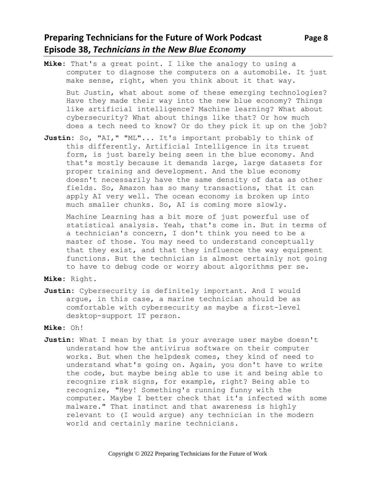# **Preparing Technicians for the Future of Work Podcast** Page 8 **Episode 38,** *Technicians in the New Blue Economy*

- **Mike:** That's a great point. I like the analogy to using a computer to diagnose the computers on a automobile. It just make sense, right, when you think about it that way. But Justin, what about some of these emerging technologies? Have they made their way into the new blue economy? Things like artificial intelligence? Machine learning? What about cybersecurity? What about things like that? Or how much does a tech need to know? Or do they pick it up on the job?
- Justin: So, "AI," "ML"... It's important probably to think of this differently. Artificial Intelligence in its truest form, is just barely being seen in the blue economy. And that's mostly because it demands large, large datasets for proper training and development. And the blue economy doesn't necessarily have the same density of data as other fields. So, Amazon has so many transactions, that it can apply AI very well. The ocean economy is broken up into much smaller chunks. So, AI is coming more slowly.

Machine Learning has a bit more of just powerful use of statistical analysis. Yeah, that's come in. But in terms of a technician's concern, I don't think you need to be a master of those. You may need to understand conceptually that they exist, and that they influence the way equipment functions. But the technician is almost certainly not going to have to debug code or worry about algorithms per se.

**Mike:** Right.

- **Justin:** Cybersecurity is definitely important. And I would argue, in this case, a marine technician should be as comfortable with cybersecurity as maybe a first-level desktop-support IT person.
- **Mike:** Oh!
- Justin: What I mean by that is your average user maybe doesn't understand how the antivirus software on their computer works. But when the helpdesk comes, they kind of need to understand what's going on. Again, you don't have to write the code, but maybe being able to use it and being able to recognize risk signs, for example, right? Being able to recognize, "Hey! Something's running funny with the computer. Maybe I better check that it's infected with some malware." That instinct and that awareness is highly relevant to (I would argue) any technician in the modern world and certainly marine technicians.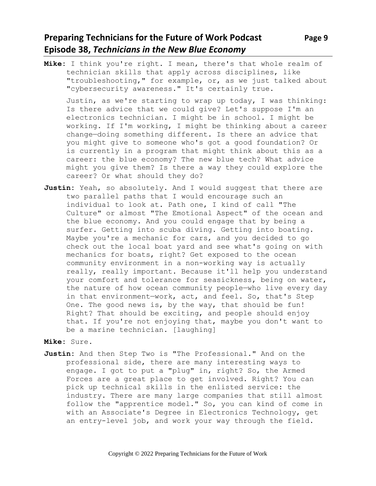# **Preparing Technicians for the Future of Work Podcast** Page 9 **Episode 38,** *Technicians in the New Blue Economy*

**Mike:** I think you're right. I mean, there's that whole realm of technician skills that apply across disciplines, like "troubleshooting," for example, or, as we just talked about "cybersecurity awareness." It's certainly true.

Justin, as we're starting to wrap up today, I was thinking: Is there advice that we could give? Let's suppose I'm an electronics technician. I might be in school. I might be working. If I'm working, I might be thinking about a career change—doing something different. Is there an advice that you might give to someone who's got a good foundation? Or is currently in a program that might think about this as a career: the blue economy? The new blue tech? What advice might you give them? Is there a way they could explore the career? Or what should they do?

**Justin:** Yeah, so absolutely. And I would suggest that there are two parallel paths that I would encourage such an individual to look at. Path one, I kind of call "The Culture" or almost "The Emotional Aspect" of the ocean and the blue economy. And you could engage that by being a surfer. Getting into scuba diving. Getting into boating. Maybe you're a mechanic for cars, and you decided to go check out the local boat yard and see what's going on with mechanics for boats, right? Get exposed to the ocean community environment in a non-working way is actually really, really important. Because it'll help you understand your comfort and tolerance for seasickness, being on water, the nature of how ocean community people—who live every day in that environment—work, act, and feel. So, that's Step One. The good news is, by the way, that should be fun! Right? That should be exciting, and people should enjoy that. If you're not enjoying that, maybe you don't want to be a marine technician. [laughing]

#### **Mike:** Sure.

**Justin:** And then Step Two is "The Professional." And on the professional side, there are many interesting ways to engage. I got to put a "plug" in, right? So, the Armed Forces are a great place to get involved. Right? You can pick up technical skills in the enlisted service: the industry. There are many large companies that still almost follow the "apprentice model." So, you can kind of come in with an Associate's Degree in Electronics Technology, get an entry-level job, and work your way through the field.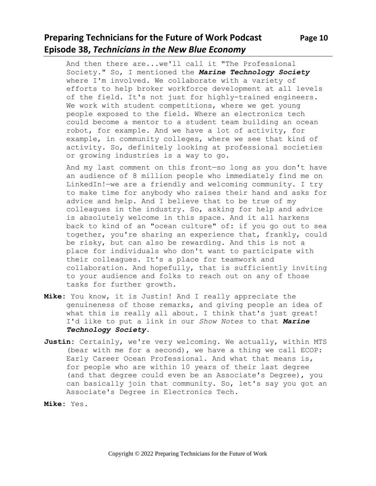# **Preparing Technicians for the Future of Work Podcast Page 10 Episode 38,** *Technicians in the New Blue Economy*

And then there are...we'll call it "The Professional Society." So, I mentioned the *Marine Technology Society* where I'm involved. We collaborate with a variety of efforts to help broker workforce development at all levels of the field. It's not just for highly-trained engineers. We work with student competitions, where we get young people exposed to the field. Where an electronics tech could become a mentor to a student team building an ocean robot, for example. And we have a lot of activity, for example, in community colleges, where we see that kind of activity. So, definitely looking at professional societies or growing industries is a way to go.

And my last comment on this front—so long as you don't have an audience of 8 million people who immediately find me on LinkedIn!—we are a friendly and welcoming community. I try to make time for anybody who raises their hand and asks for advice and help. And I believe that to be true of my colleagues in the industry. So, asking for help and advice is absolutely welcome in this space. And it all harkens back to kind of an "ocean culture" of: if you go out to sea together, you're sharing an experience that, frankly, could be risky, but can also be rewarding. And this is not a place for individuals who don't want to participate with their colleagues. It's a place for teamwork and collaboration. And hopefully, that is sufficiently inviting to your audience and folks to reach out on any of those tasks for further growth.

- **Mike:** You know, it is Justin! And I really appreciate the genuineness of those remarks, and giving people an idea of what this is really all about. I think that's just great! I'd like to put a link in our *Show Notes* to that *Marine Technology Society*.
- **Justin:** Certainly, we're very welcoming. We actually, within MTS (bear with me for a second), we have a thing we call ECOP: Early Career Ocean Professional. And what that means is, for people who are within 10 years of their last degree (and that degree could even be an Associate's Degree), you can basically join that community. So, let's say you got an Associate's Degree in Electronics Tech.

**Mike:** Yes.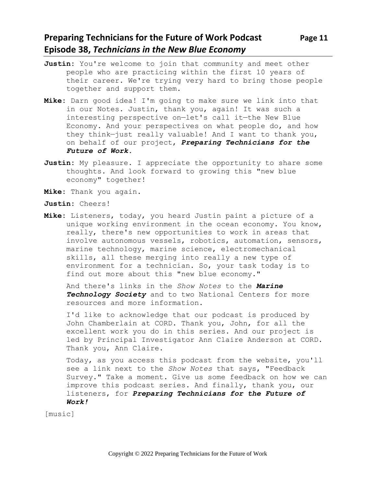# **Preparing Technicians for the Future of Work Podcast Page 11 Episode 38,** *Technicians in the New Blue Economy*

- **Mike:** Darn good idea! I'm going to make sure we link into that in our Notes. Justin, thank you, again! It was such a interesting perspective on—let's call it—the New Blue Economy. And your perspectives on what people do, and how they think—just really valuable! And I want to thank you, on behalf of our project, *Preparing Technicians for the Future of Work.*
- **Justin:** My pleasure. I appreciate the opportunity to share some thoughts. And look forward to growing this "new blue economy" together!
- **Mike:** Thank you again.

```
Justin: Cheers!
```
**Mike:** Listeners, today, you heard Justin paint a picture of a unique working environment in the ocean economy. You know, really, there's new opportunities to work in areas that involve autonomous vessels, robotics, automation, sensors, marine technology, marine science, electromechanical skills, all these merging into really a new type of environment for a technician. So, your task today is to find out more about this "new blue economy."

And there's links in the *Show Notes* to the *Marine Technology Society* and to two National Centers for more resources and more information.

I'd like to acknowledge that our podcast is produced by John Chamberlain at CORD. Thank you, John, for all the excellent work you do in this series. And our project is led by Principal Investigator Ann Claire Anderson at CORD. Thank you, Ann Claire.

Today, as you access this podcast from the website, you'll see a link next to the *Show Notes* that says, "Feedback Survey." Take a moment. Give us some feedback on how we can improve this podcast series. And finally, thank you, our listeners, for *Preparing Technicians for the Future of Work!*

[music]